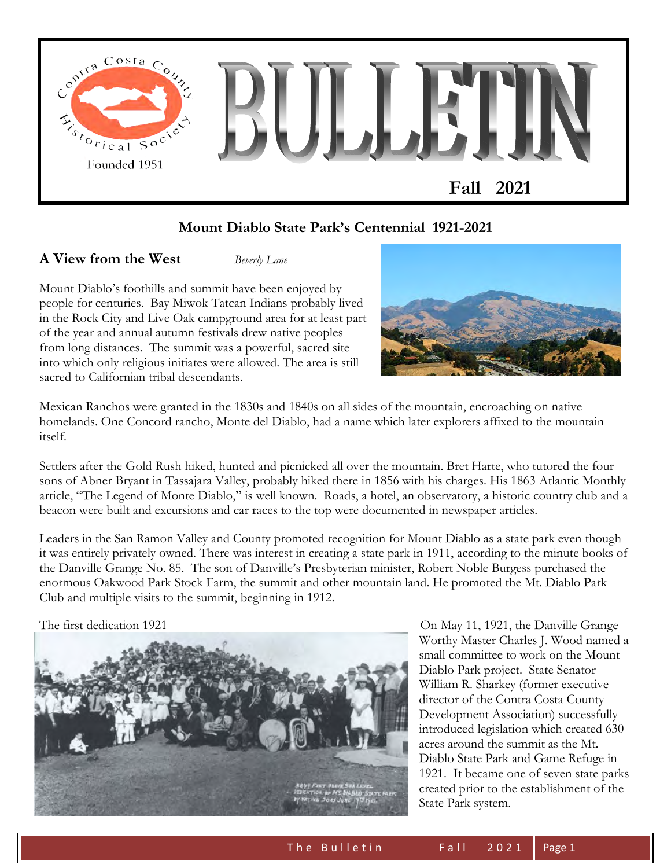

## **Mount Diablo State Park's Centennial 1921-2021**

**A View from the West** *Beverly Lane* 

Mount Diablo's foothills and summit have been enjoyed by people for centuries. Bay Miwok Tatcan Indians probably lived in the Rock City and Live Oak campground area for at least part of the year and annual autumn festivals drew native peoples from long distances. The summit was a powerful, sacred site into which only religious initiates were allowed. The area is still sacred to Californian tribal descendants.



Mexican Ranchos were granted in the 1830s and 1840s on all sides of the mountain, encroaching on native homelands. One Concord rancho, Monte del Diablo, had a name which later explorers affixed to the mountain itself.

Settlers after the Gold Rush hiked, hunted and picnicked all over the mountain. Bret Harte, who tutored the four sons of Abner Bryant in Tassajara Valley, probably hiked there in 1856 with his charges. His 1863 Atlantic Monthly article, "The Legend of Monte Diablo," is well known. Roads, a hotel, an observatory, a historic country club and a beacon were built and excursions and car races to the top were documented in newspaper articles.

Leaders in the San Ramon Valley and County promoted recognition for Mount Diablo as a state park even though it was entirely privately owned. There was interest in creating a state park in 1911, according to the minute books of the Danville Grange No. 85. The son of Danville's Presbyterian minister, Robert Noble Burgess purchased the enormous Oakwood Park Stock Farm, the summit and other mountain land. He promoted the Mt. Diablo Park Club and multiple visits to the summit, beginning in 1912.



The first dedication 1921 **On May 11, 1921**, the Danville Grange Worthy Master Charles J. Wood named a small committee to work on the Mount Diablo Park project. State Senator William R. Sharkey (former executive director of the Contra Costa County Development Association) successfully introduced legislation which created 630 acres around the summit as the Mt. Diablo State Park and Game Refuge in 1921. It became one of seven state parks created prior to the establishment of the State Park system.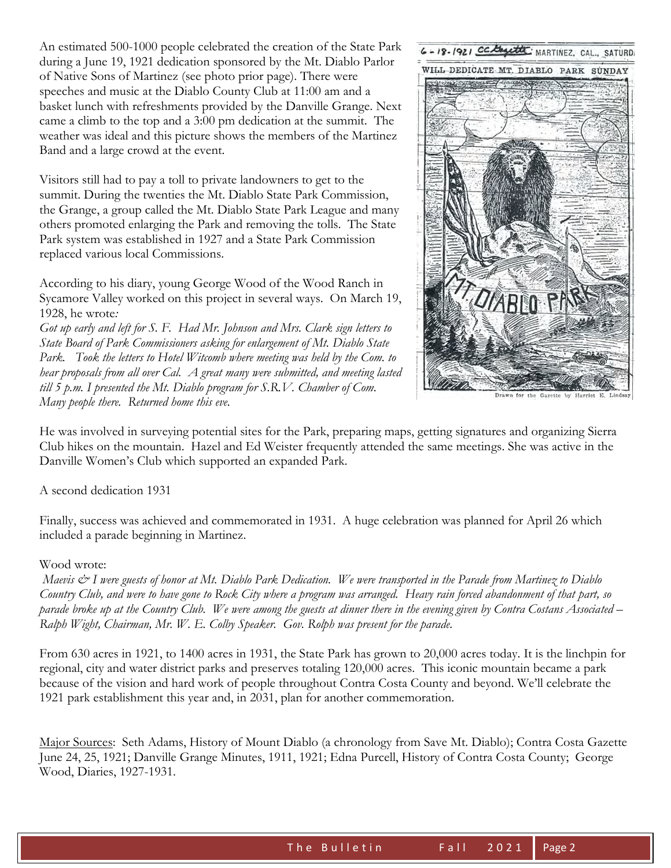An estimated 500-1000 people celebrated the creation of the State Park during a June 19, 1921 dedication sponsored by the Mt. Diablo Parlor of Native Sons of Martinez (see photo prior page). There were speeches and music at the Diablo County Club at 11:00 am and a basket lunch with refreshments provided by the Danville Grange. Next came a climb to the top and a 3:00 pm dedication at the summit. The weather was ideal and this picture shows the members of the Martinez Band and a large crowd at the event.

Visitors still had to pay a toll to private landowners to get to the summit. During the twenties the Mt. Diablo State Park Commission, the Grange, a group called the Mt. Diablo State Park League and many others promoted enlarging the Park and removing the tolls. The State Park system was established in 1927 and a State Park Commission replaced various local Commissions.

According to his diary, young George Wood of the Wood Ranch in Sycamore Valley worked on this project in several ways. On March 19, 1928, he wrote*:* 

*Got up early and left for S. F. Had Mr. Johnson and Mrs. Clark sign letters to State Board of Park Commissioners asking for enlargement of Mt. Diablo State*  Park. Took the letters to Hotel Witcomb where meeting was held by the Com. to *hear proposals from all over Cal. A great many were submitted, and meeting lasted till 5 p.m. I presented the Mt. Diablo program for S.R.V. Chamber of Com. Many people there. Returned home this eve.* 



Gazette by Harrlet E.

He was involved in surveying potential sites for the Park, preparing maps, getting signatures and organizing Sierra Club hikes on the mountain. Hazel and Ed Weister frequently attended the same meetings. She was active in the Danville Women's Club which supported an expanded Park.

A second dedication 1931

Finally, success was achieved and commemorated in 1931. A huge celebration was planned for April 26 which included a parade beginning in Martinez.

#### Wood wrote:

*Maevis & I were guests of honor at Mt. Diablo Park Dedication. We were transported in the Parade from Martinez to Diablo Country Club, and were to have gone to Rock City where a program was arranged. Heavy rain forced abandonment of that part, so parade broke up at the Country Club. We were among the guests at dinner there in the evening given by Contra Costans Associated – Ralph Wight, Chairman, Mr. W. E. Colby Speaker. Gov. Rolph was present for the parade.* 

From 630 acres in 1921, to 1400 acres in 1931, the State Park has grown to 20,000 acres today. It is the linchpin for regional, city and water district parks and preserves totaling 120,000 acres. This iconic mountain became a park because of the vision and hard work of people throughout Contra Costa County and beyond. We'll celebrate the 1921 park establishment this year and, in 2031, plan for another commemoration.

Major Sources: Seth Adams, History of Mount Diablo (a chronology from Save Mt. Diablo); Contra Costa Gazette June 24, 25, 1921; Danville Grange Minutes, 1911, 1921; Edna Purcell, History of Contra Costa County; George Wood, Diaries, 1927-1931.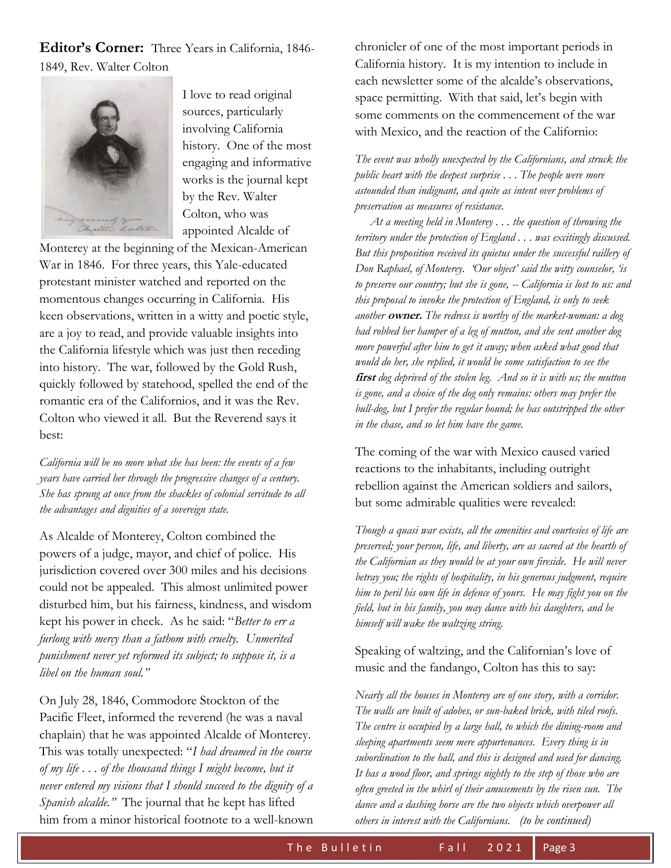**Editor's Corner:** Three Years in California, 1846- 1849, Rev. Walter Colton



I love to read original sources, particularly involving California history. One of the most engaging and informative works is the journal kept by the Rev. Walter Colton, who was appointed Alcalde of

Monterey at the beginning of the Mexican-American War in 1846. For three years, this Yale-educated protestant minister watched and reported on the momentous changes occurring in California. His keen observations, written in a witty and poetic style, are a joy to read, and provide valuable insights into the California lifestyle which was just then receding into history. The war, followed by the Gold Rush, quickly followed by statehood, spelled the end of the romantic era of the Californios, and it was the Rev. Colton who viewed it all. But the Reverend says it best:

*California will be no more what she has been: the events of a few years have carried her through the progressive changes of a century. She has sprung at once from the shackles of colonial servitude to all the advantages and dignities of a sovereign state.* 

As Alcalde of Monterey, Colton combined the powers of a judge, mayor, and chief of police. His jurisdiction covered over 300 miles and his decisions could not be appealed. This almost unlimited power disturbed him, but his fairness, kindness, and wisdom kept his power in check. As he said: "*Better to err a furlong with mercy than a fathom with cruelty. Unmerited punishment never yet reformed its subject; to suppose it, is a libel on the human soul."* 

On July 28, 1846, Commodore Stockton of the Pacific Fleet, informed the reverend (he was a naval chaplain) that he was appointed Alcalde of Monterey. This was totally unexpected: "*I had dreamed in the course of my life . . . of the thousand things I might become, but it never entered my visions that I should succeed to the dignity of a Spanish alcalde."* The journal that he kept has lifted him from a minor historical footnote to a well-known chronicler of one of the most important periods in California history. It is my intention to include in each newsletter some of the alcalde's observations, space permitting. With that said, let's begin with some comments on the commencement of the war with Mexico, and the reaction of the Californio:

*The event was wholly unexpected by the Californians, and struck the public heart with the deepest surprise . . . The people were more astounded than indignant, and quite as intent over problems of preservation as measures of resistance.* 

 *At a meeting held in Monterey . . . the question of throwing the territory under the protection of England . . . was excitingly discussed. But this proposition received its quietus under the successful raillery of Don Raphael, of Monterey. 'Our object' said the witty counselor, 'is to preserve our country; but she is gone, -- California is lost to us: and this proposal to invoke the protection of England, is only to seek another* **owner.** *The redress is worthy of the market-woman: a dog had robbed her hamper of a leg of mutton, and she sent another dog more powerful after him to get it away; when asked what good that would do her, she replied, it would be some satisfaction to see the*  **first** *dog deprived of the stolen leg. And so it is with us; the mutton is gone, and a choice of the dog only remains: others may prefer the bull-dog, but I prefer the regular hound; he has outstripped the other in the chase, and so let him have the game.* 

The coming of the war with Mexico caused varied reactions to the inhabitants, including outright rebellion against the American soldiers and sailors, but some admirable qualities were revealed:

*Though a quasi war exists, all the amenities and courtesies of life are preserved; your person, life, and liberty, are as sacred at the hearth of the Californian as they would be at your own fireside. He will never betray you; the rights of hospitality, in his generous judgment, require him to peril his own life in defence of yours. He may fight you on the field, but in his family, you may dance with his daughters, and he himself will wake the waltzing string.* 

#### Speaking of waltzing, and the Californian's love of music and the fandango, Colton has this to say:

*Nearly all the houses in Monterey are of one story, with a corridor. The walls are built of adobes, or sun-baked brick, with tiled roofs. The centre is occupied by a large hall, to which the dining-room and sleeping apartments seem mere appurtenances. Every thing is in subordination to the hall, and this is designed and used for dancing. It has a wood floor, and springs nightly to the step of those who are often greeted in the whirl of their amusements by the risen sun. The dance and a dashing horse are the two objects which overpower all others in interest with the Californians. (to be continued)*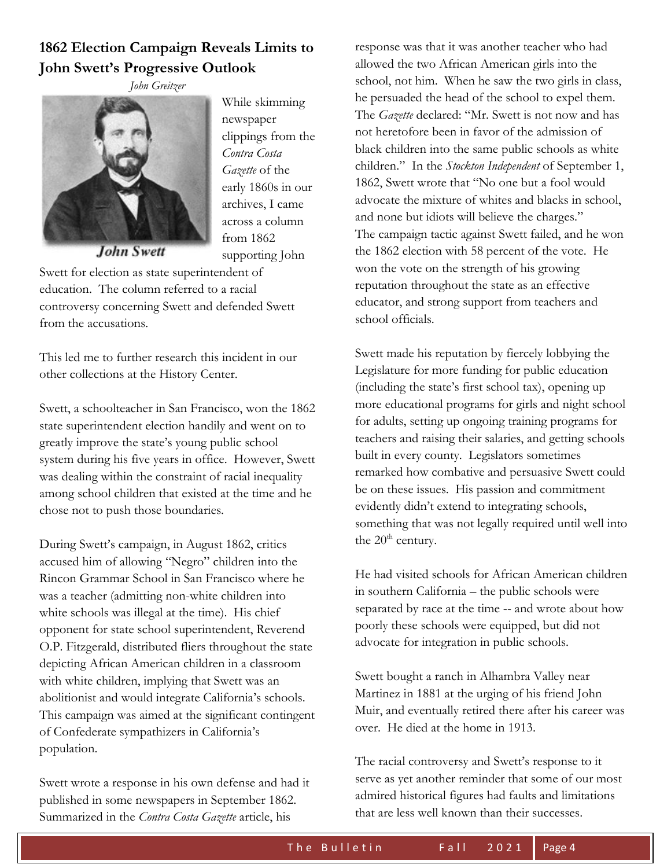# **1862 Election Campaign Reveals Limits to John Swett's Progressive Outlook**

 *John Greitzer* 



While skimming newspaper clippings from the *Contra Costa Gazette* of the early 1860s in our archives, I came across a column from 1862 supporting John

John Swett

Swett for election as state superintendent of education. The column referred to a racial controversy concerning Swett and defended Swett from the accusations.

This led me to further research this incident in our other collections at the History Center.

Swett, a schoolteacher in San Francisco, won the 1862 state superintendent election handily and went on to greatly improve the state's young public school system during his five years in office. However, Swett was dealing within the constraint of racial inequality among school children that existed at the time and he chose not to push those boundaries.

During Swett's campaign, in August 1862, critics accused him of allowing "Negro" children into the Rincon Grammar School in San Francisco where he was a teacher (admitting non-white children into white schools was illegal at the time). His chief opponent for state school superintendent, Reverend O.P. Fitzgerald, distributed fliers throughout the state depicting African American children in a classroom with white children, implying that Swett was an abolitionist and would integrate California's schools. This campaign was aimed at the significant contingent of Confederate sympathizers in California's population.

Swett wrote a response in his own defense and had it published in some newspapers in September 1862. Summarized in the *Contra Costa Gazette* article, his

response was that it was another teacher who had allowed the two African American girls into the school, not him. When he saw the two girls in class, he persuaded the head of the school to expel them. The *Gazette* declared: "Mr. Swett is not now and has not heretofore been in favor of the admission of black children into the same public schools as white children." In the *Stockton Independent* of September 1, 1862, Swett wrote that "No one but a fool would advocate the mixture of whites and blacks in school, and none but idiots will believe the charges." The campaign tactic against Swett failed, and he won the 1862 election with 58 percent of the vote. He won the vote on the strength of his growing reputation throughout the state as an effective educator, and strong support from teachers and school officials.

Swett made his reputation by fiercely lobbying the Legislature for more funding for public education (including the state's first school tax), opening up more educational programs for girls and night school for adults, setting up ongoing training programs for teachers and raising their salaries, and getting schools built in every county. Legislators sometimes remarked how combative and persuasive Swett could be on these issues. His passion and commitment evidently didn't extend to integrating schools, something that was not legally required until well into the  $20<sup>th</sup>$  century.

He had visited schools for African American children in southern California – the public schools were separated by race at the time -- and wrote about how poorly these schools were equipped, but did not advocate for integration in public schools.

Swett bought a ranch in Alhambra Valley near Martinez in 1881 at the urging of his friend John Muir, and eventually retired there after his career was over. He died at the home in 1913.

The racial controversy and Swett's response to it serve as yet another reminder that some of our most admired historical figures had faults and limitations that are less well known than their successes.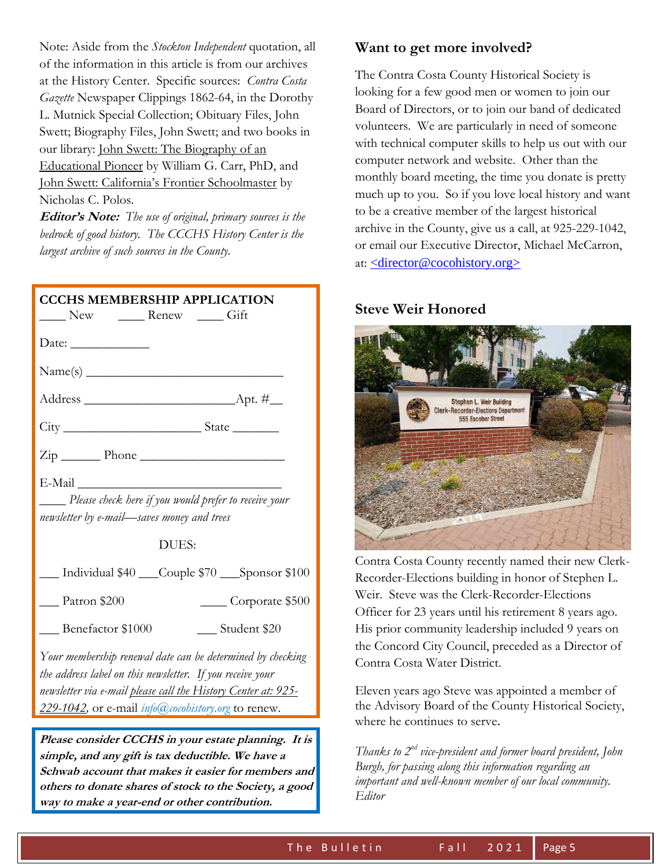Note: Aside from the *Stockton Independent* quotation, all of the information in this article is from our archives at the History Center. Specific sources: *Contra Costa Gazette* Newspaper Clippings 1862-64, in the Dorothy L. Mutnick Special Collection; Obituary Files, John Swett; Biography Files, John Swett; and two books in our library: John Swett: The Biography of an Educational Pioneer by William G. Carr, PhD, and John Swett: California's Frontier Schoolmaster by Nicholas C. Polos.

**Editor's Note:** *The use of original, primary sources is the bedrock of good history. The CCCHS History Center is the largest archive of such sources in the County.*

| <b>CCCHS MEMBERSHIP APPLICATION</b><br>New <u>New</u> Renew Gift                                                                                                                                                                               |  |  |
|------------------------------------------------------------------------------------------------------------------------------------------------------------------------------------------------------------------------------------------------|--|--|
| Date: $\_\_$                                                                                                                                                                                                                                   |  |  |
|                                                                                                                                                                                                                                                |  |  |
|                                                                                                                                                                                                                                                |  |  |
|                                                                                                                                                                                                                                                |  |  |
| $\overline{\mathrm{Zip}}$ Phone                                                                                                                                                                                                                |  |  |
| E-Mail<br>Please check here if you would prefer to receive your<br>newsletter by e-mail-saves money and trees                                                                                                                                  |  |  |
| DUES:                                                                                                                                                                                                                                          |  |  |
| __ Individual \$40 __Couple \$70 __Sponsor \$100                                                                                                                                                                                               |  |  |
| Patron \$200<br>Corporate \$500                                                                                                                                                                                                                |  |  |
| Benefactor \$1000<br>___ Student \$20                                                                                                                                                                                                          |  |  |
| Your membership renewal date can be determined by checking<br>the address label on this newsletter. If you receive your<br>newsletter via e-mail please call the History Center at: 925-<br>229-1042, or e-mail info@cocohistory.org to renew. |  |  |
| Please consider CCCHS in your estate planning. It is<br>simple, and any gift is tax deductible. We have a                                                                                                                                      |  |  |

**simple, and any gift is tax deductible. We have a Schwab account that makes it easier for members and others to donate shares of stock to the Society, a good way to make a year-end or other contribution.**

#### **Want to get more involved?**

The Contra Costa County Historical Society is looking for a few good men or women to join our Board of Directors, or to join our band of dedicated volunteers. We are particularly in need of someone with technical computer skills to help us out with our computer network and website. Other than the monthly board meeting, the time you donate is pretty much up to you. So if you love local history and want to be a creative member of the largest historical archive in the County, give us a call, at 925-229-1042, or email our Executive Director, Michael McCarron, at: [<director@cocohistory.org>](mailto:%3cdirector@cocohistory.org%3e)

#### **Steve Weir Honored**



Contra Costa County recently named their new Clerk-Recorder-Elections building in honor of Stephen L. Weir. Steve was the Clerk-Recorder-Elections Officer for 23 years until his retirement 8 years ago. His prior community leadership included 9 years on the Concord City Council, preceded as a Director of Contra Costa Water District.

Eleven years ago Steve was appointed a member of the Advisory Board of the County Historical Society, where he continues to serve.

*Thanks to 2nd vice-president and former board president, John Burgh, for passing along this information regarding an important and well-known member of our local community. Editor*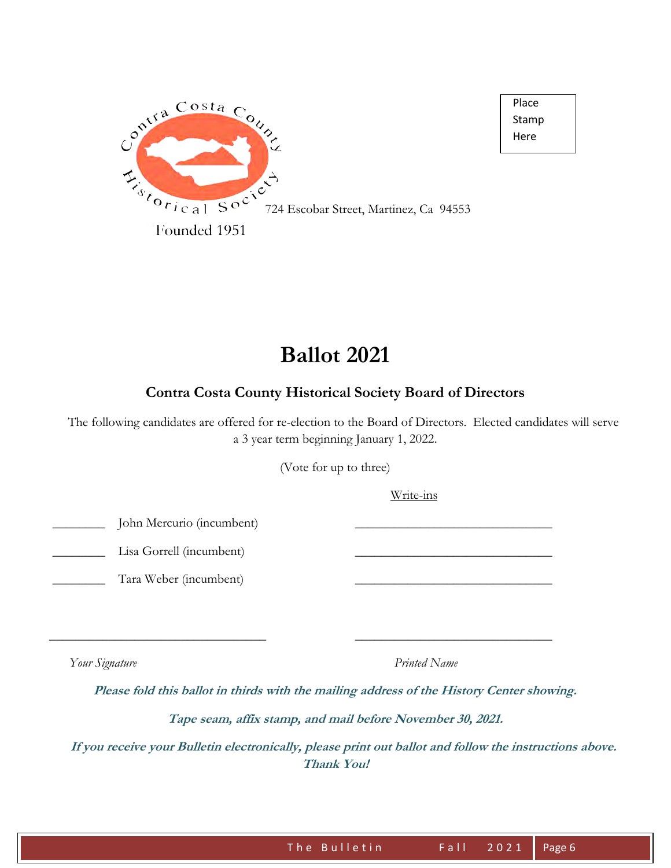

**Ballot 2021** 

### **Contra Costa County Historical Society Board of Directors**

 The following candidates are offered for re-election to the Board of Directors. Elected candidates will serve a 3 year term beginning January 1, 2022.

(Vote for up to three)

Write-ins

 Place Stamp Here ֺ

John Mercurio (incumbent)

Lisa Gorrell (incumbent)

Tara Weber (incumbent)

*Your Signature* Printed Name

**Please fold this ballot in thirds with the mailing address of the History Center showing.** 

 $\overline{\phantom{a}}$  , and the contribution of the contribution of the contribution of the contribution of the contribution of the contribution of the contribution of the contribution of the contribution of the contribution of the

**Tape seam, affix stamp, and mail before November 30, 2021.** 

 **If you receive your Bulletin electronically, please print out ballot and follow the instructions above. Thank You!**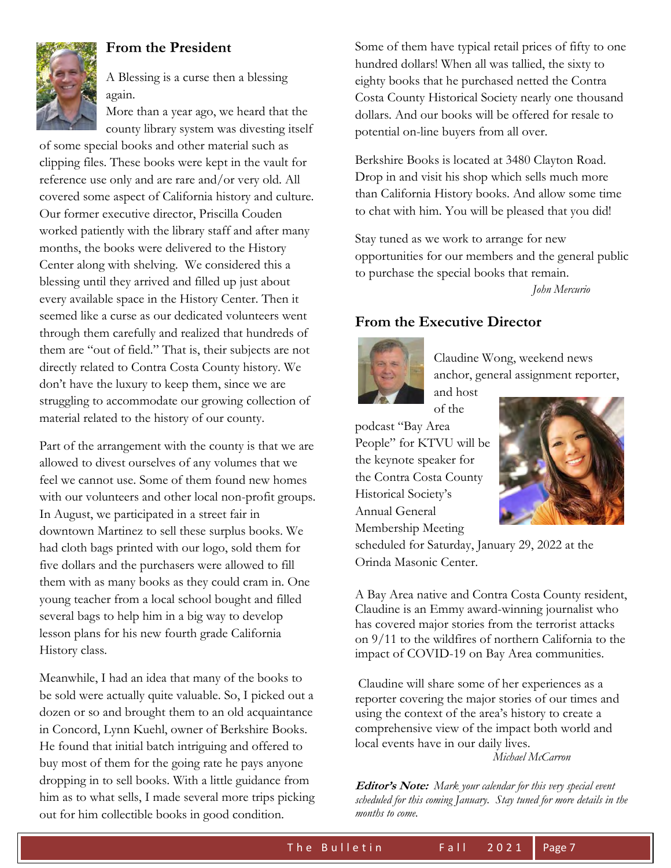

#### **From the President**

A Blessing is a curse then a blessing again.

More than a year ago, we heard that the county library system was divesting itself

of some special books and other material such as clipping files. These books were kept in the vault for reference use only and are rare and/or very old. All covered some aspect of California history and culture. Our former executive director, Priscilla Couden worked patiently with the library staff and after many months, the books were delivered to the History Center along with shelving. We considered this a blessing until they arrived and filled up just about every available space in the History Center. Then it seemed like a curse as our dedicated volunteers went through them carefully and realized that hundreds of them are "out of field." That is, their subjects are not directly related to Contra Costa County history. We don't have the luxury to keep them, since we are struggling to accommodate our growing collection of material related to the history of our county.

Part of the arrangement with the county is that we are allowed to divest ourselves of any volumes that we feel we cannot use. Some of them found new homes with our volunteers and other local non-profit groups. In August, we participated in a street fair in downtown Martinez to sell these surplus books. We had cloth bags printed with our logo, sold them for five dollars and the purchasers were allowed to fill them with as many books as they could cram in. One young teacher from a local school bought and filled several bags to help him in a big way to develop lesson plans for his new fourth grade California History class.

Meanwhile, I had an idea that many of the books to be sold were actually quite valuable. So, I picked out a dozen or so and brought them to an old acquaintance in Concord, Lynn Kuehl, owner of Berkshire Books. He found that initial batch intriguing and offered to buy most of them for the going rate he pays anyone dropping in to sell books. With a little guidance from him as to what sells, I made several more trips picking out for him collectible books in good condition.

Some of them have typical retail prices of fifty to one hundred dollars! When all was tallied, the sixty to eighty books that he purchased netted the Contra Costa County Historical Society nearly one thousand dollars. And our books will be offered for resale to potential on-line buyers from all over.

Berkshire Books is located at 3480 Clayton Road. Drop in and visit his shop which sells much more than California History books. And allow some time to chat with him. You will be pleased that you did!

Stay tuned as we work to arrange for new opportunities for our members and the general public to purchase the special books that remain.

*John Mercurio* 

### **From the Executive Director**



Claudine Wong, weekend news anchor, general assignment reporter,

and host of the

podcast "Bay Area People" for KTVU will be the keynote speaker for the Contra Costa County Historical Society's Annual General Membership Meeting



scheduled for Saturday, January 29, 2022 at the Orinda Masonic Center.

A Bay Area native and Contra Costa County resident, Claudine is an Emmy award-winning journalist who has covered major stories from the terrorist attacks on 9/11 to the wildfires of northern California to the impact of COVID-19 on Bay Area communities.

Claudine will share some of her experiences as a reporter covering the major stories of our times and using the context of the area's history to create a comprehensive view of the impact both world and local events have in our daily lives.

*Michael McCarron* 

**Editor's Note:** *Mark your calendar for this very special event scheduled for this coming January. Stay tuned for more details in the months to come.*